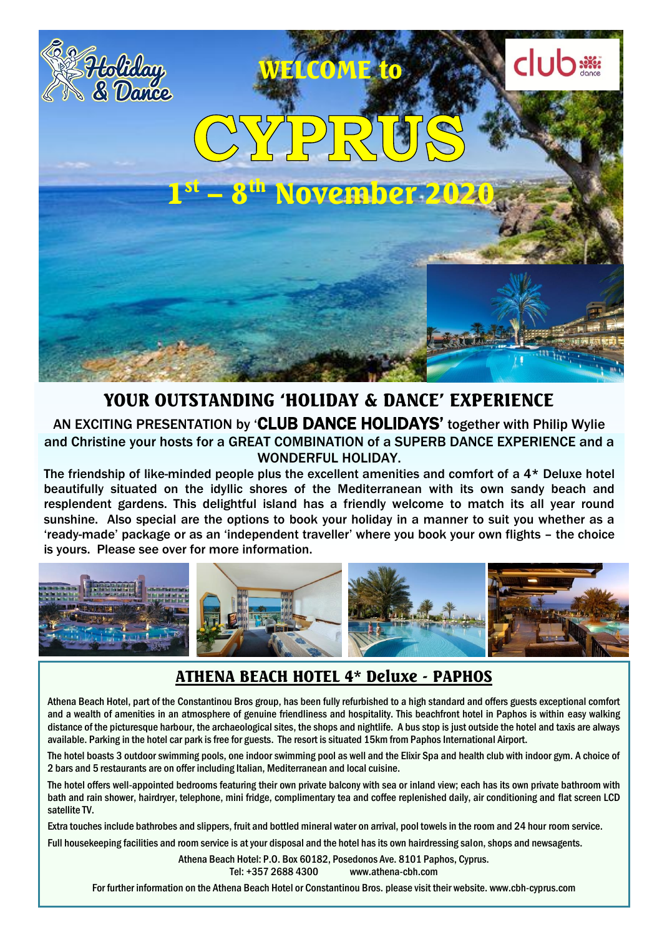

### AN EXCITING PRESENTATION by 'CLUB DANCE HOLIDAYS' together with Philip Wylie<br>and Christine your hosts for a GREAT COMBINATION of a SUPERB DANCE EXPERIENCE and a YOUR OUTSTANDING 'HOLIDAY & DANCE' EXPERIENCE AN EXCITING PRESENTATION by 'CLUB DANCE HOLIDAYS' together with Philip Wylie WONDERFUL HOLIDAY.

The friendship of like-minded people plus the excellent amenities and comfort of a 4\* Deluxe hotel beautifully situated on the idyllic shores of the Mediterranean with its own sandy beach and resplendent gardens. This delightful island has a friendly welcome to match its all year round sunshine. Also special are the options to book your holiday in a manner to suit you whether as a 'ready-made' package or as an 'independent traveller' where you book your own flights – the choice is yours. Please see over for more information.



## ATHENA BEACH HOTEL 4\* Deluxe - PAPHOS

Athena Beach Hotel, part of the Constantinou Bros group, has been fully refurbished to a high standard and offers guests exceptional comfort and a wealth of amenities in an atmosphere of genuine friendliness and hospitality. This beachfront hotel in Paphos is within easy walking distance of the picturesque harbour, the archaeological sites, the shops and nightlife. A bus stop is just outside the hotel and taxis are always available. Parking in the hotel car park is free for guests. The resort is situated 15km from Paphos International Airport.

The hotel boasts 3 outdoor swimming pools, one indoor swimming pool as well and the Elixir Spa and health club with indoor gym. A choice of 2 bars and 5 restaurants are on offer including Italian, Mediterranean and local cuisine.

The hotel offers well-appointed bedrooms featuring their own private balcony with sea or inland view; each has its own private bathroom with bath and rain shower, hairdryer, telephone, mini fridge, complimentary tea and coffee replenished daily, air conditioning and flat screen LCD satellite TV.

Extra touches include bathrobes and slippers, fruit and bottled mineral water on arrival, pool towels in the room and 24 hour room service.

Full housekeeping facilities and room service is at your disposal and the hotel has its own hairdressing salon, shops and newsagents.

Athena Beach Hotel: P.O. Box 60182, Posedonos Ave. 8101 Paphos, Cyprus. Tel: +357 2688 4300 www.athena-cbh.com

For further information on the Athena Beach Hotel or Constantinou Bros. please visit their website. www.cbh-cyprus.com